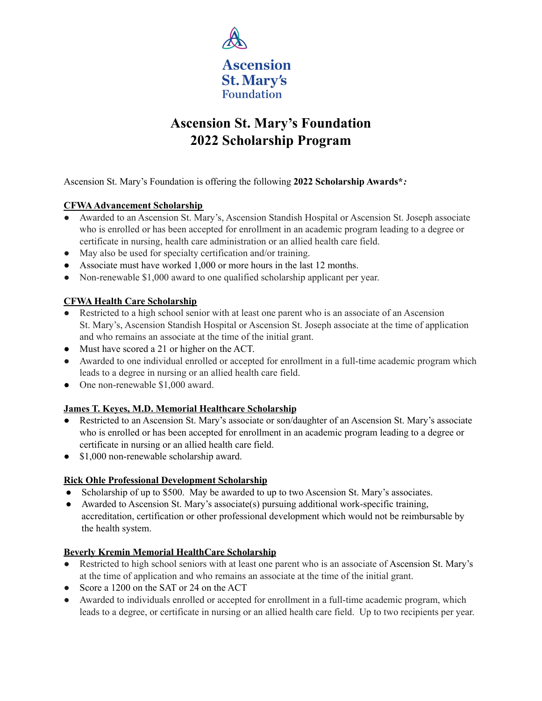

# **Ascension St. Mary's Foundation 2022 Scholarship Program**

Ascension St. Mary's Foundation is offering the following **2022 Scholarship Awards\****:*

#### **CFWA Advancement Scholarship**

- Awarded to an Ascension St. Mary's, Ascension Standish Hospital or Ascension St. Joseph associate who is enrolled or has been accepted for enrollment in an academic program leading to a degree or certificate in nursing, health care administration or an allied health care field.
- May also be used for specialty certification and/or training.
- Associate must have worked 1,000 or more hours in the last 12 months.
- Non-renewable \$1,000 award to one qualified scholarship applicant per year.

#### **CFWA Health Care Scholarship**

- Restricted to a high school senior with at least one parent who is an associate of an Ascension St. Mary's, Ascension Standish Hospital or Ascension St. Joseph associate at the time of application and who remains an associate at the time of the initial grant.
- Must have scored a 21 or higher on the ACT.
- Awarded to one individual enrolled or accepted for enrollment in a full-time academic program which leads to a degree in nursing or an allied health care field.
- One non-renewable \$1,000 award.

#### **James T. Keyes, M.D. Memorial Healthcare Scholarship**

- Restricted to an Ascension St. Mary's associate or son/daughter of an Ascension St. Mary's associate who is enrolled or has been accepted for enrollment in an academic program leading to a degree or certificate in nursing or an allied health care field.
- \$1,000 non-renewable scholarship award.

#### **Rick Ohle Professional Development Scholarship**

- Scholarship of up to \$500. May be awarded to up to two Ascension St. Mary's associates.
- Awarded to Ascension St. Mary's associate(s) pursuing additional work-specific training, accreditation, certification or other professional development which would not be reimbursable by the health system.

#### **Beverly Kremin Memorial HealthCare Scholarship**

- Restricted to high school seniors with at least one parent who is an associate of Ascension St. Mary's at the time of application and who remains an associate at the time of the initial grant.
- Score a 1200 on the SAT or 24 on the ACT
- Awarded to individuals enrolled or accepted for enrollment in a full-time academic program, which leads to a degree, or certificate in nursing or an allied health care field. Up to two recipients per year.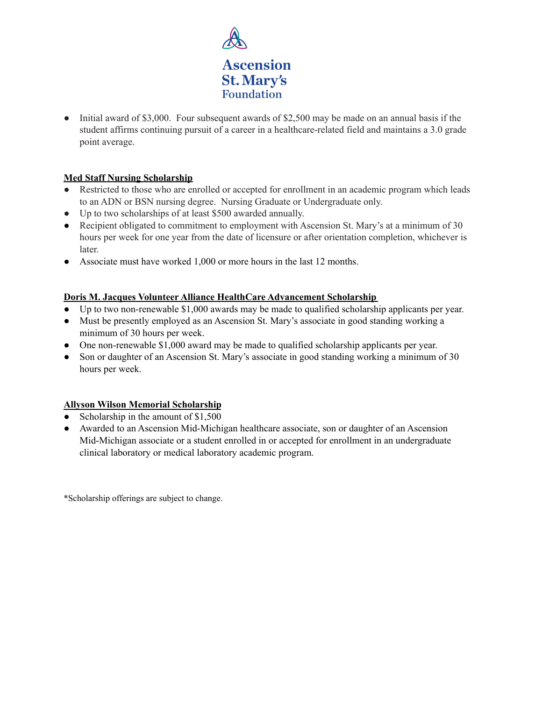

• Initial award of \$3,000. Four subsequent awards of \$2,500 may be made on an annual basis if the student affirms continuing pursuit of a career in a healthcare-related field and maintains a 3.0 grade point average.

#### **Med Staff Nursing Scholarship**

- Restricted to those who are enrolled or accepted for enrollment in an academic program which leads to an ADN or BSN nursing degree. Nursing Graduate or Undergraduate only.
- Up to two scholarships of at least \$500 awarded annually.
- Recipient obligated to commitment to employment with Ascension St. Mary's at a minimum of 30 hours per week for one year from the date of licensure or after orientation completion, whichever is later.
- Associate must have worked 1,000 or more hours in the last 12 months.

#### **Doris M. Jacques Volunteer Alliance HealthCare Advancement Scholarship**

- Up to two non-renewable \$1,000 awards may be made to qualified scholarship applicants per year.
- Must be presently employed as an Ascension St. Mary's associate in good standing working a minimum of 30 hours per week.
- One non-renewable \$1,000 award may be made to qualified scholarship applicants per year.
- Son or daughter of an Ascension St. Mary's associate in good standing working a minimum of 30 hours per week.

#### **Allyson Wilson Memorial Scholarship**

- Scholarship in the amount of \$1,500
- Awarded to an Ascension Mid-Michigan healthcare associate, son or daughter of an Ascension Mid-Michigan associate or a student enrolled in or accepted for enrollment in an undergraduate clinical laboratory or medical laboratory academic program.

\*Scholarship offerings are subject to change.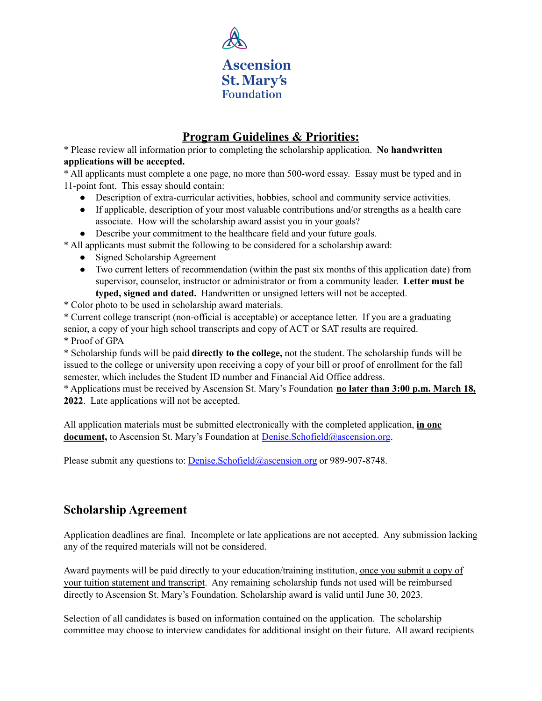

## **Program Guidelines & Priorities:**

\* Please review all information prior to completing the scholarship application. **No handwritten applications will be accepted.**

\* All applicants must complete a one page, no more than 500-word essay. Essay must be typed and in 11-point font. This essay should contain:

- Description of extra-curricular activities, hobbies, school and community service activities.
- If applicable, description of your most valuable contributions and/or strengths as a health care associate. How will the scholarship award assist you in your goals?

● Describe your commitment to the healthcare field and your future goals.

\* All applicants must submit the following to be considered for a scholarship award:

- Signed Scholarship Agreement
- Two current letters of recommendation (within the past six months of this application date) from supervisor, counselor, instructor or administrator or from a community leader. **Letter must be typed, signed and dated.** Handwritten or unsigned letters will not be accepted.
- \* Color photo to be used in scholarship award materials.

\* Current college transcript (non-official is acceptable) or acceptance letter. If you are a graduating senior, a copy of your high school transcripts and copy of ACT or SAT results are required. \* Proof of GPA

\* Scholarship funds will be paid **directly to the college,** not the student. The scholarship funds will be issued to the college or university upon receiving a copy of your bill or proof of enrollment for the fall semester, which includes the Student ID number and Financial Aid Office address.

\* Applications must be received by Ascension St. Mary's Foundation **no later than 3:00 p.m. March 18, 2022**. Late applications will not be accepted.

All application materials must be submitted electronically with the completed application, **in one document**, to Ascension St. Mary's Foundation at [Denise.Schofield@ascension.org](mailto:Denise.Schofield@ascension.org).

Please submit any questions to: [Denise.Schofield@ascension.org](mailto:Denise.Schofield@ascension.org) or 989-907-8748.

## **Scholarship Agreement**

Application deadlines are final. Incomplete or late applications are not accepted. Any submission lacking any of the required materials will not be considered.

Award payments will be paid directly to your education/training institution, once you submit a copy of your tuition statement and transcript. Any remaining scholarship funds not used will be reimbursed directly to Ascension St. Mary's Foundation. Scholarship award is valid until June 30, 2023.

Selection of all candidates is based on information contained on the application. The scholarship committee may choose to interview candidates for additional insight on their future. All award recipients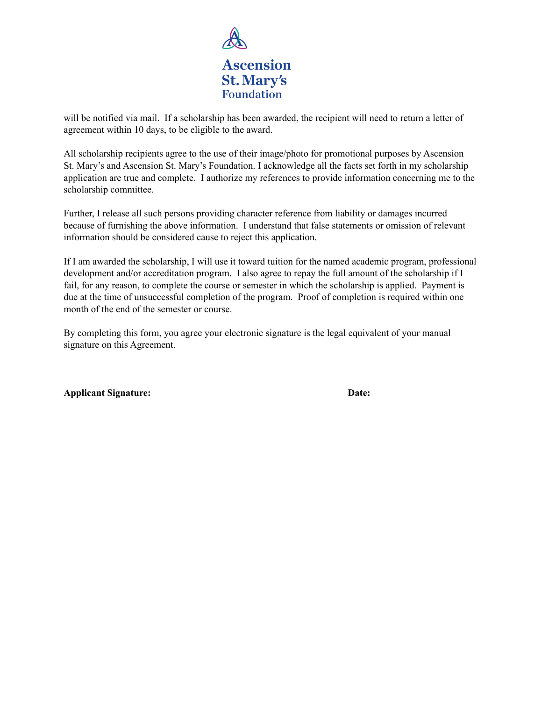

will be notified via mail. If a scholarship has been awarded, the recipient will need to return a letter of agreement within 10 days, to be eligible to the award.

All scholarship recipients agree to the use of their image/photo for promotional purposes by Ascension St. Mary's and Ascension St. Mary's Foundation. I acknowledge all the facts set forth in my scholarship application are true and complete. I authorize my references to provide information concerning me to the scholarship committee.

Further, I release all such persons providing character reference from liability or damages incurred because of furnishing the above information. I understand that false statements or omission of relevant information should be considered cause to reject this application.

If I am awarded the scholarship, I will use it toward tuition for the named academic program, professional development and/or accreditation program. I also agree to repay the full amount of the scholarship if I fail, for any reason, to complete the course or semester in which the scholarship is applied. Payment is due at the time of unsuccessful completion of the program. Proof of completion is required within one month of the end of the semester or course.

By completing this form, you agree your electronic signature is the legal equivalent of your manual signature on this Agreement.

**Applicant Signature: Date:**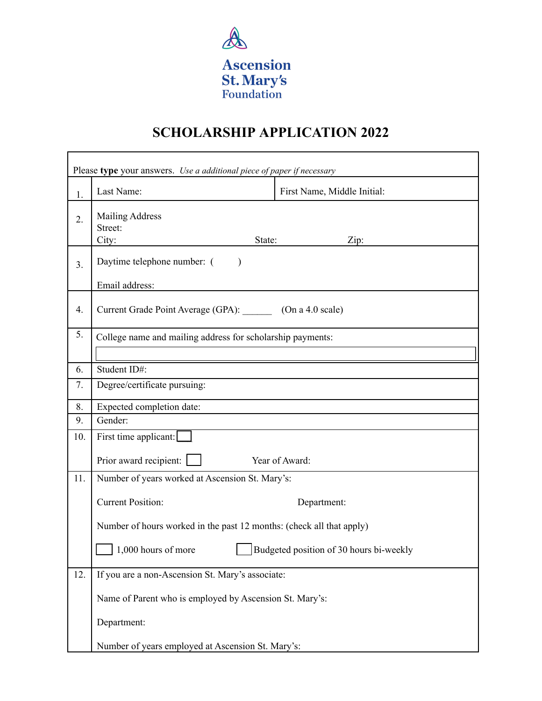

# **SCHOLARSHIP APPLICATION 2022**

| Please type your answers. Use a additional piece of paper if necessary |                                                                      |                                         |
|------------------------------------------------------------------------|----------------------------------------------------------------------|-----------------------------------------|
| 1.                                                                     | Last Name:                                                           | First Name, Middle Initial:             |
| $\overline{2}$ .                                                       | <b>Mailing Address</b><br>Street:<br>City:<br>State:                 | Zip:                                    |
| 3.                                                                     | Daytime telephone number: (                                          |                                         |
|                                                                        | Email address:                                                       |                                         |
| 4.                                                                     | Current Grade Point Average (GPA):<br>(On a 4.0 scale)               |                                         |
| 5.                                                                     | College name and mailing address for scholarship payments:           |                                         |
| 6.                                                                     | Student ID#:                                                         |                                         |
| 7.                                                                     | Degree/certificate pursuing:                                         |                                         |
| 8.                                                                     | Expected completion date:                                            |                                         |
| 9.                                                                     | Gender:                                                              |                                         |
| 10.                                                                    | First time applicant:                                                |                                         |
|                                                                        | Prior award recipient:                                               | Year of Award:                          |
| 11.                                                                    | Number of years worked at Ascension St. Mary's:                      |                                         |
|                                                                        | <b>Current Position:</b>                                             | Department:                             |
|                                                                        | Number of hours worked in the past 12 months: (check all that apply) |                                         |
|                                                                        | 1,000 hours of more                                                  | Budgeted position of 30 hours bi-weekly |
| 12.                                                                    | If you are a non-Ascension St. Mary's associate:                     |                                         |
|                                                                        | Name of Parent who is employed by Ascension St. Mary's:              |                                         |
|                                                                        | Department:                                                          |                                         |
|                                                                        | Number of years employed at Ascension St. Mary's:                    |                                         |